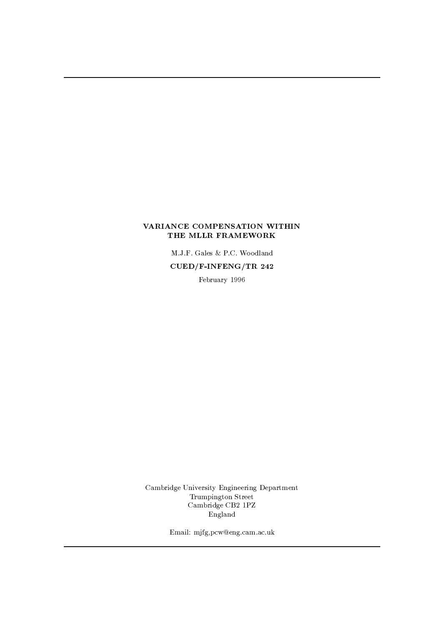## VARIANCE COMPENSATION WITHIN THE MLLR FRAMEWORK

M.J.F. Gales & P.C. Woodland  $CUED/F-INFERG/TR$  242

February 1996

Cambridge University Engineering Department Trumpington Street Cambridge CB2 1PZ England

Email: mjfg,pcw@eng.cam.ac.uk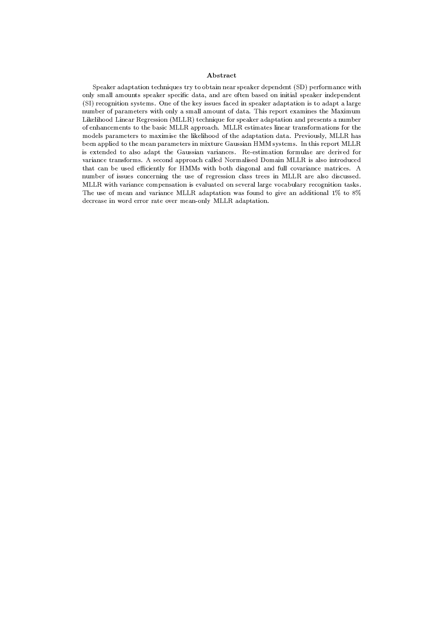### Abstract

Speaker adaptation techniques try to obtain near speaker dependent (SD) performance with only small amounts speaker specific data, and are often based on initial speaker independent (SI) recognition systems. One of the key issues faced in speaker adaptation is to adapt a large number of parameters with only a small amount of data. This report examines the Maximum Likelihood Linear Regression (MLLR) technique for speaker adaptation and presents a number of enhancements to the basic MLLR approach. MLLR estimates linear transformations for the models parameters to maximise the likelihood of the adaptation data. Previously, MLLR has been applied to the mean parameters in mixture Gaussian HMM systems. In this report MLLR is extended to also adapt the Gaussian variances. Re-estimation formulae are derived for variance transforms. A second approach called Normalised Domain MLLR is also introduced that can be used efficiently for HMMs with both diagonal and full covariance matrices. A number of issues concerning the use of regression class trees in MLLR are also discussed. MLLR with variance compensation is evaluated on several large vocabulary recognition tasks. The use of mean and variance MLLR adaptation was found to give an additional  $1\%$  to  $8\%$ decrease in word error rate over mean-only MLLR adaptation.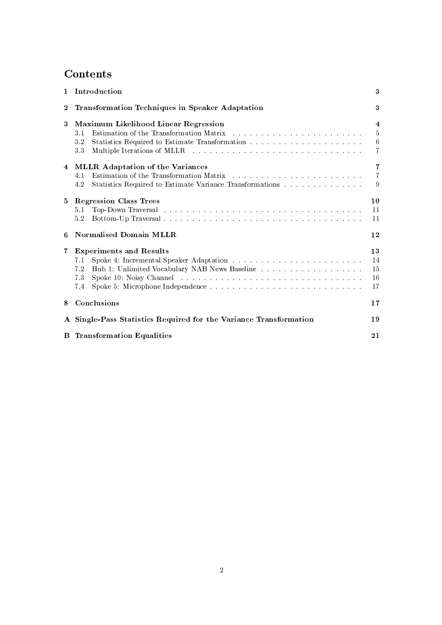# Contents

|                | 1 Introduction                                                                                                                                                                                                                                                                                      | 3                                                                      |  |  |  |  |
|----------------|-----------------------------------------------------------------------------------------------------------------------------------------------------------------------------------------------------------------------------------------------------------------------------------------------------|------------------------------------------------------------------------|--|--|--|--|
| $\overline{2}$ | <b>Transformation Techniques in Speaker Adaptation</b>                                                                                                                                                                                                                                              |                                                                        |  |  |  |  |
| 3              | Maximum Likelihood Linear Regression<br>3.1<br>$3\,$ $2\,$<br>Multiple Iterations of MLLR results in the set of the set of the set of the set of the set of the set of the set of the set of the set of the set of the set of the set of the set of the set of the set of the set of the set<br>3.3 | $\overline{4}$<br>$5\overline{)}$<br>$6\phantom{.}6$<br>$\overline{7}$ |  |  |  |  |
| 4              | <b>MLLR</b> Adaptation of the Variances<br>4.1<br>Statistics Required to Estimate Variance Transformations<br>4.2                                                                                                                                                                                   | $\overline{7}$<br>$\overline{7}$<br>9                                  |  |  |  |  |
| 5              | <b>Regression Class Trees</b><br>Top-Down Traversal resources and contract the contract of the contract of the contract of the contract of the contract of the contract of the contract of the contract of the contract of the contract of the contract of the<br>5.1<br>5.2                        | 10<br>11<br>11                                                         |  |  |  |  |
| 6              | Normalised Domain MLLR                                                                                                                                                                                                                                                                              | 12                                                                     |  |  |  |  |
| 7              | <b>Experiments and Results</b><br>7.1<br>7.2<br>7.3<br>7.4                                                                                                                                                                                                                                          | 13<br>14<br>15<br>16<br>17                                             |  |  |  |  |
| 8              | Conclusions                                                                                                                                                                                                                                                                                         | 17                                                                     |  |  |  |  |
|                | A Single-Pass Statistics Required for the Variance Transformation<br>19                                                                                                                                                                                                                             |                                                                        |  |  |  |  |
|                | <b>B</b> Transformation Equalities                                                                                                                                                                                                                                                                  | 21                                                                     |  |  |  |  |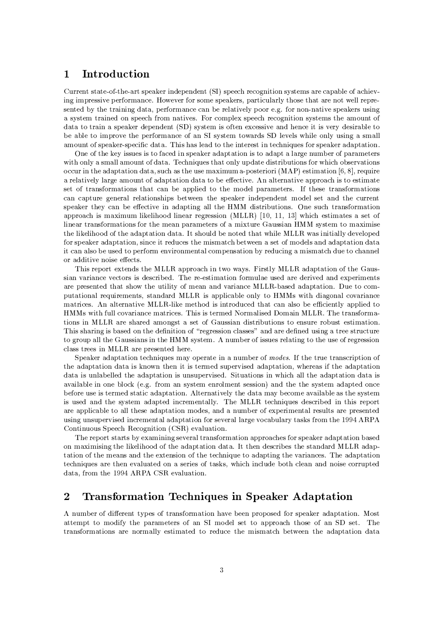#### Introduction  $\mathbf{1}$

Current state-of-the-art speaker independent (SI) speech recognition systems are capable of achieving impressive performance. However for some speakers, particularly those that are not well represented by the training data, performance can be relatively poor e.g. for non-native speakers using a system trained on speech from natives. For complex speech recognition systems the amount of data to train a speaker dependent (SD) system is often excessive and hence it is very desirable to be able to improve the performance of an SI system towards SD levels while only using a small amount of speaker-specific data. This has lead to the interest in techniques for speaker adaptation.

One of the key issues is to faced in speaker adaptation is to adapt a large number of parameters with only a small amount of data. Techniques that only update distributions for which observations occur in the adaptation data, such as the use maximum a-posteriori  $(MAP)$  estimation [6, 8], require a relatively large amount of adaptation data to be effective. An alternative approach is to estimate set of transformations that can be applied to the model parameters. If these transformations can capture general relationships between the speaker independent model set and the current speaker they can be effective in adapting all the HMM distributions. One such transformation approach is maximum likelihood linear regression (MLLR)  $[10, 11, 13]$  which estimates a set of linear transformations for the mean parameters of a mixture Gaussian HMM system to maximise the likelihood of the adaptation data. It should be noted that while MLLR was initially developed for speaker adaptation, since it reduces the mismatch between a set of models and adaptation data it can also be used to perform environmental compensation by reducing a mismatch due to channel or additive noise effects.

This report extends the MLLR approach in two ways. Firstly MLLR adaptation of the Gaussian variance vectors is described. The re-estimation formulae used are derived and experiments are presented that show the utility of mean and variance MLLR-based adaptation. Due to computational requirements, standard MLLR is applicable only to HMMs with diagonal covariance matrices. An alternative MLLR-like method is introduced that can also be efficiently applied to HMMs with full covariance matrices. This is termed Normalised Domain MLLR. The transformations in MLLR are shared amongst a set of Gaussian distributions to ensure robust estimation. This sharing is based on the definition of "regression classes" and are defined using a tree structure to group all the Gaussians in the HMM system. A number of issues relating to the use of regression class trees in MLLR are presented here.

Speaker adaptation techniques may operate in a number of modes. If the true transcription of the adaptation data is known then it is termed supervised adaptation, whereas if the adaptation data is unlabelled the adaptation is unsupervised. Situations in which all the adaptation data is available in one block (e.g. from an system enrolment session) and the the system adapted once before use is termed static adaptation. Alternatively the data may become available as the system is used and the system adapted incrementally. The MLLR techniques described in this report are applicable to all these adaptation modes, and a number of experimental results are presented using unsupervised incremental adaptation for several large vocabulary tasks from the 1994 ARPA Continuous Speech Recognition (CSR) evaluation.

The report starts by examining several transformation approaches for speaker adaptation based on maximising the likelihood of the adaptation data. It then describes the standard MLLR adaptation of the means and the extension of the technique to adapting the variances. The adaptation techniques are then evaluated on a series of tasks, which include both clean and noise corrupted data, from the 1994 ARPA CSR evaluation.

#### **Transformation Techniques in Speaker Adaptation**  $\overline{2}$

A number of different types of transformation have been proposed for speaker adaptation. Most attempt to modify the parameters of an SI model set to approach those of an SD set. The transformations are normally estimated to reduce the mismatch between the adaptation data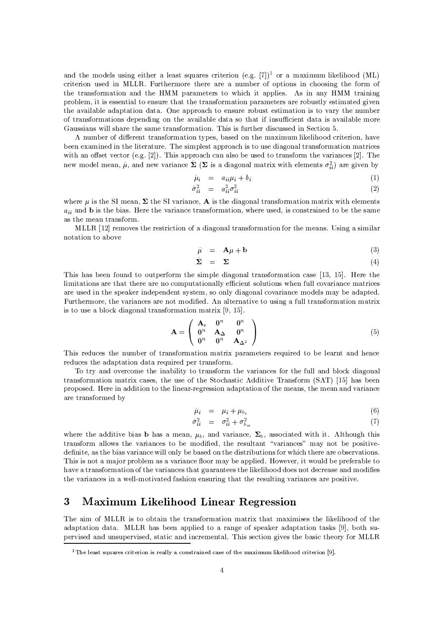and the models using either a least squares criterion (e.g.  $[7]$ )<sup>1</sup> or a maximum likelihood (ML) criterion used in MLLR. Furthermore there are a number of options in choosing the form of the transformation and the HMM parameters to which it applies. As in any HMM training problem, it is essential to ensure that the transformation parameters are robustly estimated given the available adaptation data. One approach to ensure robust estimation is to vary the number of transformations depending on the available data so that if insufficient data is available more Gaussians will share the same transformation. This is further discussed in Section 5.

A number of different transformation types, based on the maximum likelihood criterion, have been examined in the literature. The simplest approach is to use diagonal transformation matrices with an offset vector (e.g.  $[2]$ ). This approach can also be used to transform the variances  $[2]$ . The new model mean,  $\hat{\mu}$ , and new variance  $\Sigma$  ( $\Sigma$  is a diagonal matrix with elements  $\sigma_{ii}^2$ ) are given by

$$
\hat{\mu}_i = a_{ii}\mu_i + b_i \tag{1}
$$

$$
\hat{\sigma}_{ii}^2 = a_{ii}^2 \sigma_{ii}^2 \tag{2}
$$

where  $\mu$  is the SI mean,  $\Sigma$  the SI variance, A is the diagonal transformation matrix with elements  $a_{ii}$  and b is the bias. Here the variance transformation, where used, is constrained to be the same as the mean transform.

MLLR [12] removes the restriction of a diagonal transformation for the means. Using a similar notation to above

$$
\hat{\mu} = \mathbf{A}\mu + \mathbf{b} \tag{3}
$$

$$
\hat{\Sigma} = \Sigma \tag{4}
$$

This has been found to outperform the simple diagonal transformation case [13, 15]. Here the limitations are that there are no computationally efficient solutions when full covariance matrices are used in the speaker independent system, so only diagonal covariance models may be adapted. Furthermore, the variances are not modified. An alternative to using a full transformation matrix is to use a block diagonal transformation matrix  $[9, 15]$ .

$$
\mathbf{A} = \left(\begin{array}{ccc} \mathbf{A}_s & \mathbf{0}^n & \mathbf{0}^n \\ \mathbf{0}^n & \mathbf{A}_{\Delta} & \mathbf{0}^n \\ \mathbf{0}^n & \mathbf{0}^n & \mathbf{A}_{\Delta^2} \end{array}\right) \tag{5}
$$

This reduces the number of transformation matrix parameters required to be learnt and hence reduces the adaptation data required per transform.

To try and overcome the inability to transform the variances for the full and block diagonal transformation matrix cases, the use of the Stochastic Additive Transform (SAT) [15] has been proposed. Here in addition to the linear-regression adaptation of the means, the mean and variance are transformed by

$$
\hat{\mu}_i = \mu_i + \mu_{b_i} \tag{6}
$$

$$
\hat{\sigma}_{ii}^2 = \sigma_{ii}^2 + \sigma_{b_{ii}}^2 \tag{7}
$$

where the additive bias b has a mean,  $\mu_b$ , and variance,  $\Sigma_b$ , associated with it. Although this transform allows the variances to be modified, the resultant "variances" may not be positivedefinite, as the bias variance will only be based on the distributions for which there are observations. This is not a major problem as a variance floor may be applied. However, it would be preferable to have a transformation of the variances that guarantees the likelihood does not decrease and modifies the variances in a well-motivated fashion ensuring that the resulting variances are positive.

#### 3 **Maximum Likelihood Linear Regression**

The aim of MLLR is to obtain the transformation matrix that maximises the likelihood of the adaptation data. MLLR has been applied to a range of speaker adaptation tasks [9], both supervised and unsupervised, static and incremental. This section gives the basic theory for MLLR

<sup>&</sup>lt;sup>1</sup>The least squares criterion is really a constrained case of the maximum likelihood criterion [9].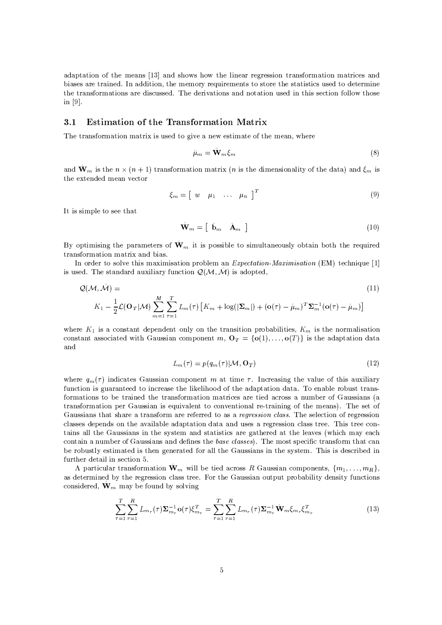adaptation of the means [13] and shows how the linear regression transformation matrices and biases are trained. In addition, the memory requirements to store the statistics used to determine the transformations are discussed. The derivations and notation used in this section follow those in  $[9]$ .

#### **Estimation of the Transformation Matrix**  $3.1$

The transformation matrix is used to give a new estimate of the mean, where

$$
\hat{\mu}_m = \mathbf{W}_m \xi_m \tag{8}
$$

and  $\hat{\mathbf{W}}_m$  is the  $n \times (n+1)$  transformation matrix (*n* is the dimensionality of the data) and  $\xi_m$  is the extended mean vector

$$
\xi_m = \begin{bmatrix} w & \mu_1 & \dots & \mu_n \end{bmatrix}^T \tag{9}
$$

It is simple to see that

$$
\hat{\mathbf{W}}_m = \left[ \begin{array}{cc} \hat{\mathbf{b}}_m & \hat{\mathbf{A}}_m \end{array} \right] \tag{10}
$$

By optimising the parameters of  $\hat{\mathbf{W}}_m$  it is possible to simultaneously obtain both the required transformation matrix and bias.

In order to solve this maximisation problem an *Expectation-Maximisation* (EM) technique [1] is used. The standard auxiliary function  $\mathcal{Q}(\mathcal{M}, \hat{\mathcal{M}})$  is adopted,

$$
Q(\mathcal{M}, \mathcal{M}) =
$$
\n
$$
K_1 - \frac{1}{2}\mathcal{L}(\mathbf{O}_T|\mathcal{M})\sum_{m=1}^M \sum_{\tau=1}^T L_m(\tau) \left[K_m + \log(|\mathbf{\Sigma}_m|) + (\mathbf{o}(\tau) - \hat{\mu}_m)^T \mathbf{\Sigma}_m^{-1} (\mathbf{o}(\tau) - \hat{\mu}_m)\right]
$$
\n(11)

where  $K_1$  is a constant dependent only on the transition probabilities,  $K_m$  is the normalisation constant associated with Gaussian component m,  $O_T = \{o(1), ..., o(T)\}\$ is the adaptation data and

$$
L_m(\tau) = p(q_m(\tau)|\mathcal{M}, \mathbf{O}_T)
$$
\n(12)

where  $q_m(\tau)$  indicates Gaussian component m at time  $\tau$ . Increasing the value of this auxiliary function is guaranteed to increase the likelihood of the adaptation data. To enable robust transformations to be trained the transformation matrices are tied across a number of Gaussians (a transformation per Gaussian is equivalent to conventional re-training of the means). The set of Gaussians that share a transform are referred to as a regression class. The selection of regression classes depends on the available adaptation data and uses a regression class tree. This tree contains all the Gaussians in the system and statistics are gathered at the leaves (which may each contain a number of Gaussians and defines the base classes). The most specific transform that can be robustly estimated is then generated for all the Gaussians in the system. This is described in further detail in section 5.

A particular transformation  $\mathbf{W}_m$  will be tied across R Gaussian components,  $\{m_1, \ldots, m_R\}$ as determined by the regression class tree. For the Gaussian output probability density functions considered,  $\hat{\mathbf{W}}_m$  may be found by solving

$$
\sum_{\tau=1}^{T} \sum_{r=1}^{R} L_{m_r}(\tau) \Sigma_{m_r}^{-1} \mathbf{o}(\tau) \xi_{m_r}^T = \sum_{\tau=1}^{T} \sum_{r=1}^{R} L_{m_r}(\tau) \Sigma_{m_r}^{-1} \hat{\mathbf{W}}_m \xi_{m_r} \xi_{m_r}^T
$$
(13)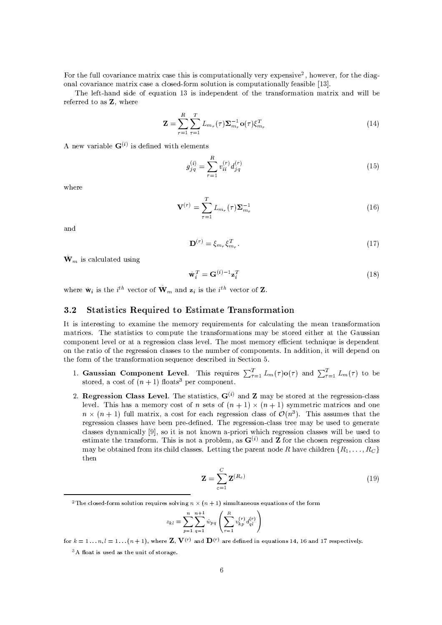For the full covariance matrix case this is computationally very expensive<sup>2</sup>, however, for the diagonal covariance matrix case a closed-form solution is computationally feasible [13].

The left-hand side of equation 13 is independent of the transformation matrix and will be referred to as Z, where

$$
\mathbf{Z} = \sum_{r=1}^{R} \sum_{\tau=1}^{T} L_{m_r}(\tau) \mathbf{\Sigma}_{m_r}^{-1} \mathbf{o}(\tau) \xi_{m_r}^T
$$
\n(14)

A new variable  $G^{(i)}$  is defined with elements

$$
g_{j\,q}^{(i)} = \sum_{r=1}^{R} v_{ii}^{(r)} d_{j\,q}^{(r)}
$$
\n
$$
(15)
$$

where

$$
\mathbf{V}^{(r)} = \sum_{\tau=1}^{T} L_{m_r}(\tau) \Sigma_{m_r}^{-1}
$$
 (16)

and

$$
\mathbf{D}^{(r)} = \xi_{m_r} \xi_{m_r}^T. \tag{17}
$$

 $\hat{\mathbf{W}}_m$  is calculated using

$$
\hat{\mathbf{w}}_i^T = \mathbf{G}^{(i)-1} \mathbf{z}_i^T \tag{18}
$$

where  $\hat{\mathbf{w}}_i$  is the *i*<sup>th</sup> vector of  $\hat{\mathbf{W}}_m$  and  $\mathbf{z}_i$  is the *i*<sup>th</sup> vector of **Z**.

#### **Statistics Required to Estimate Transformation**  $3.2$

It is interesting to examine the memory requirements for calculating the mean transformation matrices. The statistics to compute the transformations may be stored either at the Gaussian component level or at a regression class level. The most memory efficient technique is dependent on the ratio of the regression classes to the number of components. In addition, it will depend on the form of the transformation sequence described in Section 5.

- 1. Gaussian Component Level. This requires  $\sum_{\tau=1}^{T} L_m(\tau) o(\tau)$  and  $\sum_{\tau=1}^{T} L_m(\tau)$  to be stored, a cost of  $(n + 1)$  floats<sup>3</sup> per component.
- 2. Regression Class Level. The statistics,  $G^{(i)}$  and Z may be stored at the regression-class level. This has a memory cost of *n* sets of  $(n + 1) \times (n + 1)$  symmetric matrices and one  $n \times (n+1)$  full matrix, a cost for each regression class of  $\mathcal{O}(n^3)$ . This assumes that the regression classes have been pre-defined. The regression-class tree may be used to generate classes dynamically [9], so it is not known a-priori which regression classes will be used to estimate the transform. This is not a problem, as  $G^{(i)}$  and **Z** for the chosen regression class may be obtained from its child classes. Letting the parent node R have children  $\{R_1, \ldots, R_C\}$ then

$$
\mathbf{Z} = \sum_{c=1}^{C} \mathbf{Z}^{(R_c)} \tag{19}
$$

$$
z_{kl} = \sum_{p=1}^{n} \sum_{q=1}^{n+1} \hat{w}_{pq} \left( \sum_{r=1}^{R} v_{kp}^{(r)} d_{ql}^{(r)} \right)
$$

for  $k = 1...n$ ,  $l = 1... (n + 1)$ , where **Z**,  $V^{(r)}$  and  $D^{(r)}$  are defined in equations 14, 16 and 17 respectively.

<sup>3</sup>A float is used as the unit of storage.

<sup>&</sup>lt;sup>2</sup>The closed-form solution requires solving  $n \times (n + 1)$  simultaneous equations of the form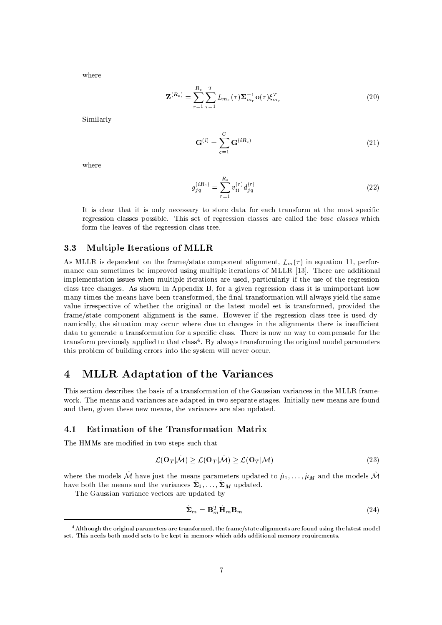where

$$
\mathbf{Z}^{(R_c)} = \sum_{r=1}^{R_c} \sum_{\tau=1}^{T} L_{m_r}(\tau) \mathbf{\Sigma}_{m_r}^{-1} \mathbf{o}(\tau) \xi_{m_r}^T
$$
\n(20)

Similarly

$$
\mathbf{G}^{(i)} = \sum_{c=1}^{C} \mathbf{G}^{(iR_c)} \tag{21}
$$

where

$$
g_{j\,q}^{(iR_c)} = \sum_{r=1}^{R_c} v_{ii}^{(r)} d_{j\,q}^{(r)}
$$
\n(22)

It is clear that it is only necessary to store data for each transform at the most specific regression classes possible. This set of regression classes are called the base classes which form the leaves of the regression class tree.

#### $3.3$ **Multiple Iterations of MLLR**

As MLLR is dependent on the frame/state component alignment,  $L_m(\tau)$  in equation 11, performance can sometimes be improved using multiple iterations of MLLR [13]. There are additional implementation issues when multiple iterations are used, particularly if the use of the regression class tree changes. As shown in Appendix B, for a given regression class it is unimportant how many times the means have been transformed, the final transformation will always yield the same value irrespective of whether the original or the latest model set is transformed, provided the frame/state component alignment is the same. However if the regression class tree is used dynamically, the situation may occur where due to changes in the alignments there is insufficient data to generate a transformation for a specific class. There is now no way to compensate for the transform previously applied to that class<sup>4</sup>. By always transforming the original model parameters this problem of building errors into the system will never occur.

#### **MLLR** Adaptation of the Variances  $\overline{4}$

This section describes the basis of a transformation of the Gaussian variances in the MLLR framework. The means and variances are adapted in two separate stages. Initially new means are found and then, given these new means, the variances are also updated.

#### **Estimation of the Transformation Matrix**  $4.1$

The HMMs are modified in two steps such that

$$
\mathcal{L}(\mathbf{O}_T|\tilde{\mathcal{M}}) \ge \mathcal{L}(\mathbf{O}_T|\hat{\mathcal{M}}) \ge \mathcal{L}(\mathbf{O}_T|\mathcal{M})
$$
\n(23)

where the models M have just the means parameters updated to  $\hat{\mu}_1, \dots, \hat{\mu}_M$  and the models M have both the means and the variances  $\Sigma_1, \ldots, \Sigma_M$  updated.

The Gaussian variance vectors are updated by

$$
\hat{\mathbf{\Sigma}}_m = \mathbf{B}_m^T \hat{\mathbf{H}}_m \mathbf{B}_m \tag{24}
$$

<sup>&</sup>lt;sup>4</sup> Although the original parameters are transformed, the frame/state alignments are found using the latest model set. This needs both model sets to be kept in memory which adds additional memory requirements.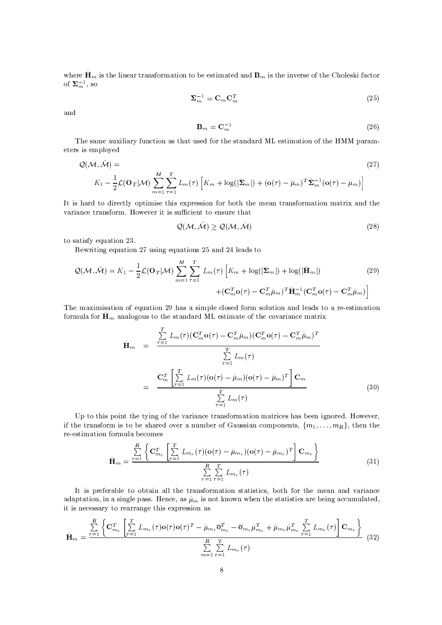where  $\mathbf{H}_m$  is the linear transformation to be estimated and  $\mathbf{B}_m$  is the inverse of the Choleski factor of  $\Sigma_m^{-1}$ , so

$$
\Sigma_m^{-1} = \mathbf{C}_m \mathbf{C}_m^T \tag{25}
$$

and

$$
\mathbf{B}_m = \mathbf{C}_m^{-1} \tag{26}
$$

The same auxiliary function as that used for the standard ML estimation of the HMM parameters is employed

$$
Q(\mathcal{M}, \hat{\mathcal{M}}) =
$$
\n
$$
K_1 - \frac{1}{2} \mathcal{L}(\mathbf{O}_T | \mathcal{M}) \sum_{m=1}^M \sum_{\tau=1}^T L_m(\tau) \left[ K_m + \log(|\hat{\mathbf{\Sigma}}_m|) + (\mathbf{o}(\tau) - \hat{\mu}_m)^T \hat{\mathbf{\Sigma}}_m^{-1} (\mathbf{o}(\tau) - \hat{\mu}_m) \right]
$$
\n(27)

It is hard to directly optimise this expression for both the mean transformation matrix and the variance transform. However it is sufficient to ensure that

$$
Q(\mathcal{M}, \tilde{\mathcal{M}}) \ge Q(\mathcal{M}, \hat{\mathcal{M}}) \tag{28}
$$

to satisfy equation 23.

Rewriting equation 27 using equations 25 and 24 leads to

$$
Q(\mathcal{M}, \check{\mathcal{M}}) = K_1 - \frac{1}{2} \mathcal{L}(\mathbf{O}_T | \mathcal{M}) \sum_{m=1}^M \sum_{\tau=1}^T L_m(\tau) \left[ K_m + \log(|\mathbf{\Sigma}_m|) + \log(|\hat{\mathbf{H}}_m|) \right]
$$
  
 
$$
+ (\mathbf{C}_m^T \mathbf{o}(\tau) - \mathbf{C}_m^T \hat{\mu}_m)^T \hat{\mathbf{H}}_m^{-1} (\mathbf{C}_m^T \mathbf{o}(\tau) - \mathbf{C}_m^T \hat{\mu}_m) \right]
$$
(29)

The maximisation of equation 29 has a simple closed form solution and leads to a re-estimation formula for  $\hat{H}_m$  analogous to the standard ML estimate of the covariance matrix

$$
\hat{\mathbf{H}}_{m} = \frac{\sum_{\tau=1}^{T} L_{m}(\tau) (\mathbf{C}_{m}^{T} \mathbf{o}(\tau) - \mathbf{C}_{m}^{T} \hat{\mu}_{m}) (\mathbf{C}_{m}^{T} \mathbf{o}(\tau) - \mathbf{C}_{m}^{T} \hat{\mu}_{m})^{T}}{\sum_{\tau=1}^{T} L_{m}(\tau)}
$$
\n
$$
= \frac{\mathbf{C}_{m}^{T} \left[ \sum_{\tau=1}^{T} L_{m}(\tau) (\mathbf{o}(\tau) - \hat{\mu}_{m}) (\mathbf{o}(\tau) - \hat{\mu}_{m})^{T} \right] \mathbf{C}_{m}}{\sum_{\tau=1}^{T} L_{m}(\tau)}
$$
\n(30)

Up to this point the tying of the variance transformation matrices has been ignored. However, if the transform is to be shared over a number of Gaussian components,  $\{m_1, \ldots, m_R\}$ , then the re-estimation formula becomes

$$
\hat{\mathbf{H}}_{m} = \frac{\sum\limits_{r=1}^{R} \left\{ \mathbf{C}_{m_{r}}^{T} \left[ \sum\limits_{\tau=1}^{T} L_{m_{r}}(\tau) (\mathbf{o}(\tau) - \hat{\mu}_{m_{r}}) (\mathbf{o}(\tau) - \hat{\mu}_{m_{r}})^{T} \right] \mathbf{C}_{m_{r}} \right\}}{\sum\limits_{r=1}^{R} \sum\limits_{\tau=1}^{T} L_{m_{r}}(\tau)}
$$
(31)

It is preferable to obtain all the transformation statistics, both for the mean and variance adaptation, in a single pass. Hence, as  $\hat{\mu}_m$  is not known when the statistics are being accumulated, it is necessary to rearrange this expression as

$$
\hat{\mathbf{H}}_{m} = \frac{\sum\limits_{r=1}^{R} \left\{ \mathbf{C}_{m_{r}}^{T} \left[ \sum\limits_{r=1}^{T} L_{m_{r}}(\tau) \mathbf{o}(\tau) \mathbf{o}(\tau)^{T} - \hat{\mu}_{m_{r}} \overline{\mathbf{o}}_{m_{r}}^{T} - \overline{\mathbf{o}}_{m_{r}} \hat{\mu}_{m_{r}}^{T} + \hat{\mu}_{m_{r}} \hat{\mu}_{m_{r}}^{T} \sum\limits_{\tau=1}^{T} L_{m_{r}}(\tau) \right] \mathbf{C}_{m_{r}} \right\}}{\sum\limits_{m=1}^{R} \sum\limits_{\tau=1}^{T} L_{m_{r}}(\tau)}
$$
(32)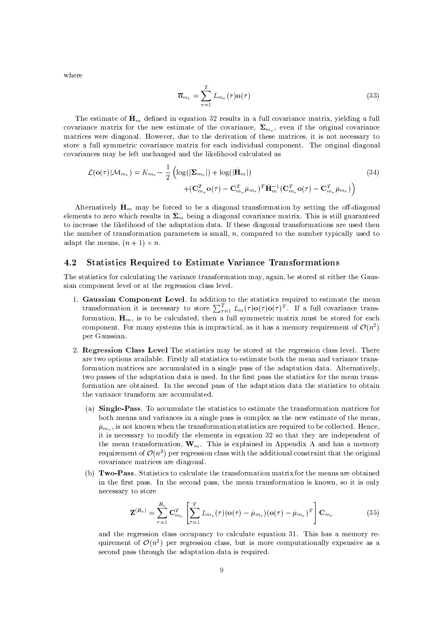$$
\overline{\mathbf{o}}_{m_r} = \sum_{\tau=1}^{T} L_{m_r}(\tau) \mathbf{o}(\tau)
$$
\n(33)

The estimate of  $\hat{H}_m$  defined in equation 32 results in a full covariance matrix, yielding a full covariance matrix for the new estimate of the covariance,  $\hat{\Sigma}_{m_r}$ , even if the original covariance matrices were diagonal. However, due to the derivation of these matrices, it is not necessary to store a full symmetric covariance matrix for each individual component. The original diagonal covariances may be left unchanged and the likelihood calculated as

$$
\mathcal{L}(\mathbf{o}(\tau)|\mathcal{M}_{m_r}) = K_{m_r} - \frac{1}{2} \left( \log(|\mathbf{\Sigma}_{m_r}|) + \log(|\hat{\mathbf{H}}_m|) + (\mathbf{C}_{m_r}^T \mathbf{o}(\tau) - \mathbf{C}_{m_r}^T \hat{\mu}_{m_r})^T \hat{\mathbf{H}}_m^{-1} (\mathbf{C}_{m_r}^T \mathbf{o}(\tau) - \mathbf{C}_{m_r}^T \hat{\mu}_{m_r}) \right)
$$
(34)

Alternatively  $\mathbf{H}_m$  may be forced to be a diagonal transformation by setting the off-diagonal elements to zero which results in  $\hat{\Sigma}_m$  being a diagonal covariance matrix. This is still guaranteed to increase the likelihood of the adaptation data. If these diagonal transformations are used then the number of transformation parameters is small,  $n$ , compared to the number typically used to adapt the means,  $(n + 1) \times n$ .

#### 4.2 **Statistics Required to Estimate Variance Transformations**

The statistics for calculating the variance transformation may, again, be stored at either the Gaussian component level or at the regression class level.

- 1. Gaussian Component Level. In addition to the statistics required to estimate the mean transformation it is necessary to store  $\sum_{\tau=1}^{T} L_m(\tau) o(\tau) o(\tau)^T$ . If a full covariance transformation,  $\mathbf{H}_m$ , is to be calculated, then a full symmetric matrix must be stored for each component. For many systems this is impractical, as it has a memory requirement of  $\mathcal{O}(n^2)$ per Gaussian.
- 2. Regression Class Level The statistics may be stored at the regression class level. There are two options available. Firstly all statistics to estimate both the mean and variance transformation matrices are accumulated in a single pass of the adaptation data. Alternatively, two passes of the adaptation data is used. In the first pass the statistics for the mean transformation are obtained. In the second pass of the adaptation data the statistics to obtain the variance transform are accumulated.
	- (a) Single-Pass. To accumulate the statistics to estimate the transformation matrices for both means and variances in a single pass is complex as the new estimate of the mean,  $\hat{\mu}_{m_{\tau}}$ , is not known when the transformation statistics are required to be collected. Hence, it is necessary to modify the elements in equation 32 so that they are independent of the mean transformation,  $\hat{\mathbf{W}}_m$ . This is explained in Appendix A and has a memory requirement of  $\mathcal{O}(n^3)$  per regression class with the additional constraint that the original covariance matrices are diagonal.
	- (b) Two-Pass. Statistics to calculate the transformation matrix for the means are obtained in the first pass. In the second pass, the mean transformation is known, so it is only necessary to store

$$
\mathbf{Z}^{(R_c)} = \sum_{r=1}^{R_c} \mathbf{C}_{m_r}^T \left[ \sum_{\tau=1}^T L_{m_r}(\tau) (\mathbf{o}(\tau) - \hat{\mu}_{m_r}) (\mathbf{o}(\tau) - \hat{\mu}_{m_r})^T \right] \mathbf{C}_{m_r}
$$
(35)

and the regression class occupancy to calculate equation 31. This has a memory requirement of  $\mathcal{O}(n^2)$  per regression class, but is more computationally expensive as a second pass through the adaptation data is required.

where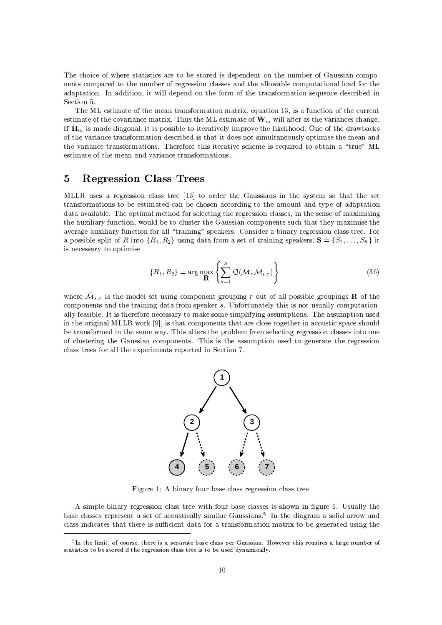The choice of where statistics are to be stored is dependent on the number of Gaussian components compared to the number of regression classes and the allowable computational load for the adaptation. In addition, it will depend on the form of the transformation sequence described in Section 5.

The ML estimate of the mean transformation matrix, equation 13, is a function of the current estimate of the covariance matrix. Thus the ML estimate of  $\hat{\mathbf{W}}_m$  will alter as the variances change. If  $\hat{H}_m$  is made diagonal, it is possible to iteratively improve the likelihood. One of the drawbacks of the variance transformation described is that it does not simultaneously optimise the mean and the variance transformations. Therefore this iterative scheme is required to obtain a "true" ML estimate of the mean and variance transformations.

#### **Regression Class Trees**  $\overline{5}$

MLLR uses a regression class tree [13] to order the Gaussians in the system so that the set transformations to be estimated can be chosen according to the amount and type of adaptation data available. The optimal method for selecting the regression classes, in the sense of maximising the auxiliary function, would be to cluster the Gaussian components such that they maximise the average auxiliary function for all "training" speakers. Consider a binary regression class tree. For a possible split of R into  $\{R_1, R_2\}$  using data from a set of training speakers,  $S = \{S_1, \ldots, S_S\}$  it is necessary to optimise

$$
\{R_1, R_2\} = \arg\max_{\mathbf{R}} \left\{ \sum_{s=1}^S \mathcal{Q}(\mathcal{M}, \hat{\mathcal{M}}_{s,r}) \right\}
$$
(36)

where  $\mathcal{M}_{s,r}$  is the model set using component grouping r out of all possible groupings **R** of the components and the training data from speaker s. Unfortunately this is not usually computationally feasible. It is therefore necessary to make some simplifying assumptions. The assumption used in the original MLLR work [9], is that components that are close together in acoustic space should be transformed in the same way. This alters the problem from selecting regression classes into one of clustering the Gaussian components. This is the assumption used to generate the regression class trees for all the experiments reported in Section 7.



Figure 1: A binary four base class regression class tree

A simple binary regression class tree with four base classes is shown in figure 1. Usually the base classes represent a set of acoustically similar Gaussians.<sup>5</sup> In the diagram a solid arrow and class indicates that there is sufficient data for a transformation matrix to be generated using the

 $5$ In the limit, of course, there is a separate base class per-Gaussian. However this requires a large number of statistics to be stored if the regression class tree is to be used dynamically.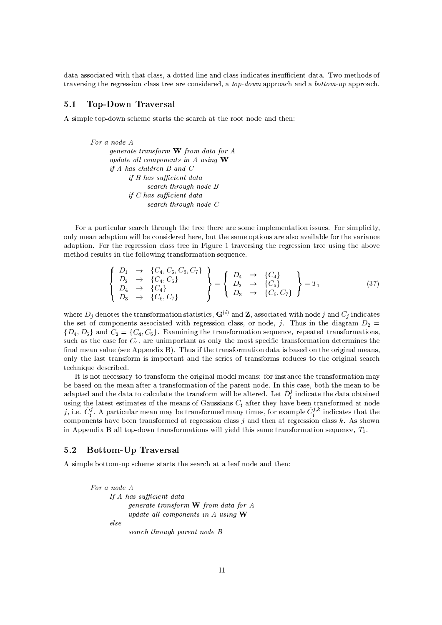data associated with that class, a dotted line and class indicates insufficient data. Two methods of traversing the regression class tree are considered, a *top-down* approach and a *bottom-up* approach.

#### $5.1$ Top-Down Traversal

A simple top-down scheme starts the search at the root node and then:

```
For a node A
     generate transform \bf{W} from data for A
     update all components in A using Wif A has children B and Cif B has sufficient data
                 search through node B
           if C has sufficient data
                 search through node C
```
For a particular search through the tree there are some implementation issues. For simplicity, only mean adaption will be considered here, but the same options are also available for the variance adaption. For the regression class tree in Figure 1 traversing the regression tree using the above method results in the following transformation sequence.

$$
\begin{Bmatrix}\nD_1 & \to & \{C_4, C_5, C_6, C_7\} \\
D_2 & \to & \{C_4, C_5\} \\
D_4 & \to & \{C_4\} \\
D_3 & \to & \{C_6, C_7\}\n\end{Bmatrix} = \begin{Bmatrix}\nD_4 & \to & \{C_4\} \\
D_2 & \to & \{C_5\} \\
D_3 & \to & \{C_6, C_7\}\n\end{Bmatrix} = T_1
$$
\n(37)

where  $D_i$  denotes the transformation statistics,  $G^{(i)}$  and Z, associated with node j and  $C_i$  indicates the set of components associated with regression class, or node, j. Thus in the diagram  $D_2$  =  $\{D_4, D_5\}$  and  $C_2 = \{C_4, C_5\}$ . Examining the transformation sequence, repeated transformations, such as the case for  $C_4$ , are unimportant as only the most specific transformation determines the final mean value (see Appendix B). Thus if the transformation data is based on the original means, only the last transform is important and the series of transforms reduces to the original search technique described.

It is not necessary to transform the original model means: for instance the transformation may be based on the mean after a transformation of the parent node. In this case, both the mean to be adapted and the data to calculate the transform will be altered. Let  $\hat{D}_i^j$  indicate the data obtained using the latest estimates of the means of Gaussians  $C_i$  after they have been transformed at node j, i.e.  $\hat{C}_i^j$ . A particular mean may be transformed many times, for example  $\hat{C}_i^{j,k}$  indicates that the components have been transformed at regression class  $j$  and then at regression class  $k$ . As shown in Appendix B all top-down transformations will yield this same transformation sequence,  $T_1$ .

#### **Bottom-Up Traversal**  $5.2$

A simple bottom-up scheme starts the search at a leaf node and then:

```
For a node A
      If A has sufficient data
           generate transform W from data for A
           update all components in A using Welsesearch through parent node B
```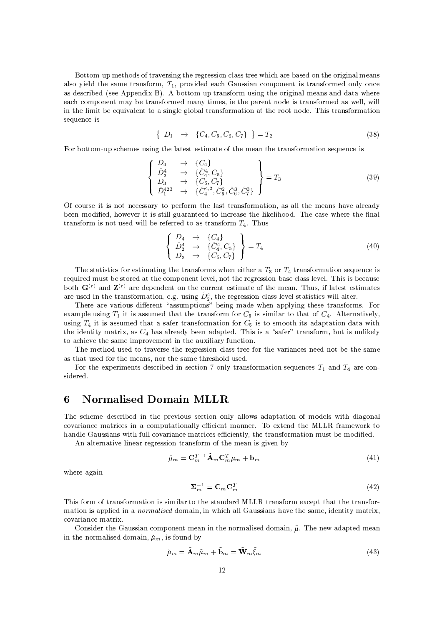Bottom-up methods of traversing the regression class tree which are based on the original means  $\alpha$  algo yield the game transform  $T$  -provided each Caugian component is transformed only one 469(BC79h{UWd8TX7B D9h77EbnCn/7!ECBCdBAIr!, bTXA`ihiWA^a[kVCnihU 46EF9kxA^UWa
VC9Wd8ECeci @C7A`Uhd8e`d8E/465Sa7]46EF9 4bECB B/4bi 4|]@C7Uh7 7]46{p@[{A`an/A^EC7E3i(a 4YT/7ihU 4bEC9kxA^UWa7B a 4bE3YciWd8a79zCd87i#@C7nX46UW7!EiECA3BC7d89;ihU 46EF9kxA^UWa7!B 4b9|\$7585kzC|(d8585 ditEIII additEFe`597E3ikJava-T/46587E3ikJava-T/46587E3ikJava-T/465Sihu 4bEC9kxA^uwai46iwaana-T/465Sihu 46iho 46 sequence is

$$
\left\{ D_1 \to \{C_4, C_5, C_6, C_7\} \right\} = T_2 \tag{38}
$$

For bottom-up schemes using the latest estimate of the mean the transformation sequence is

$$
\begin{cases}\nD_4 & \to \{C_4\} \\
\hat{D}_2^4 & \to \{\hat{C}_4^4, C_5\} \\
D_3 & \to \{C_6, C_7\} \\
\hat{D}_1^{423} & \to \{\hat{C}_4^{4,2}, \hat{C}_5^2, \hat{C}_6^3, \hat{C}_7^3\}\n\end{cases} = T_3
$$
\n(39)

 $\sim$  end in the cross interval in a cross interval in the cross in the cross interval in the cross in the cross interval in the cross interval in the cross interval in the cross interval in the cross interval in the cross been modified, however it is still guaranteed to increase the likelihood. The case where the final transform is not used will be referred to as transform  $T_{\rm c}$  . Thus

$$
\begin{cases}\nD_4 & \to \{C_4\} \\
\hat{D}_2^4 & \to \{\hat{C}_4^4, C_5\} \\
D_3 & \to \{C_6, C_7\}\n\end{cases} = T_4
$$
\n(40)

The statistics for estimating the transforms when either a  $T_2$  or  $T_4$  transformation sequence is required must be stored at the component level, not the regression base class level. This is because ا د المحادث المقاطعة التي تقطع المسابق المقاطعة المتابعة المسابق المسابق المسابق المسابق المسابق المسابق المسابق are used in the transformation, e.g. using  $\hat{D}_5^4$ , the regression class level statistics will alter.

o]@F7UW7 46Uh7g`4bUWd8A`VC9BCdS7UW7!Ei-" 469h9WVCanCiWd8A`EF9\$IT/7!djEFe a 4bBC7 |]@F7E 4bnCnC58Y3djEFe i @C79h7 ihU 4bEC9kxA^UWa9], 0FA`Uexample using  $T_i$  it is assumed that the transform for  $C_r$  is similar to that of  $C_A$  . Alternatively using  $T_t$  it is assumed that a safer transformation for  $C_t$  is to smooth its adaptation data with the identity matrix as  $C_4$  has already been adanted. This is a "safer" transform, but is unlikely to achieve the same improvement in the auxiliary function.

eF7. IIP 3. ICA3B Arithmetric and the critical contract of the critical contract of the critical contract of the critical contract of the critical contract of the critical contract of the critical contract of the critical as that used for the means, nor the same threshold used.

For the experiments described in section 7 only transformation sequences T, and T, are considered.

# 6-<sup>7830</sup> (Fc7836 ,//2

o]@C7 9W{p@C7!a7[BC79W{!UWd8T/7!B d8E <sup>i</sup> @C7 nCUh7g3djA^VC9I9W7{!iWd8A`E A^EC58Y 4b5j58A6|(94bB/46nCi 46ihdjA^E A6xaA3BC7589c|(d8i#@ BCdD46e`A^E/465 {A6g`46Uhd 4bEC{7caI46iWUhd8{79d8E <sup>4</sup> {A`anCVCi 4biWd8A`EX465858Y7!{d87E3ia 4bECEC7U,IopA7KA3iW7ECB <sup>i</sup> @C7 +QP7PH=xyU 46a7|%A`UWiWA handle Gaussians with full covariance matrices efficiently, the transformation must be modified.

bE 4658iW7UhE/46ihd8g`758djEF7]46U%UW7e^UW79h9Wd8A`E[iWU 46EC9xA`Uha A6x i@C7a7]4bEd89\$e^d8g`7EIT3Y

$$
\hat{\mu}_m = \mathbf{C}_m^{T-1} \tilde{\mathbf{A}}_m \mathbf{C}_m^T \mu_m + \mathbf{b}_m \tag{41}
$$

where again

$$
\Sigma_m^{-1} = \mathbf{C}_m \mathbf{C}_m^T \tag{42}
$$

o]@Cd89%xA`Uha A6x iWU 46EC9xA`Uha 4biWd8A`Ecd89(9Wd8adj5D4bUpihAci#@C79Wi 4bECB/4bUWB +QPP7H iWU 46EC9xA`Uha 7KA3{7nCii @/46i(i @C7iWU 46EC9xA`U[ mation is applied in a *normalised* domain, in which all Gaussians have the same, identity matrix.  ${\mathcal{A}}_4$  and  ${\mathcal{A}}_4$  and  ${\mathcal{A}}_5$  and  ${\mathcal{A}}_6$  and  ${\mathcal{A}}_7$  and  ${\mathcal{A}}_8$  and  ${\mathcal{A}}_7$  and  ${\mathcal{A}}_8$  and  ${\mathcal{A}}_8$  and  ${\mathcal{A}}_8$  and  ${\mathcal{A}}_9$  and  ${\mathcal{A}}_8$  and  ${\mathcal{A}}_9$  and  ${\mathcal{A}}_8$  and  ${\mathcal{A}}_9$ 

Consider the Gaussian component mean in the normalised domain.  $\tilde{u}$ . The new adapted mean djEi#@C7ECA`Uha 4658d89W7!BcBCA`aI46d8E <sup>z</sup> \*) z3d89%xA`VFECBT3Y

$$
\check{\mu}_m = \mathbf{A}_m \tilde{\mu}_m + \mathbf{b}_m = \mathbf{W}_m \xi_m \tag{43}
$$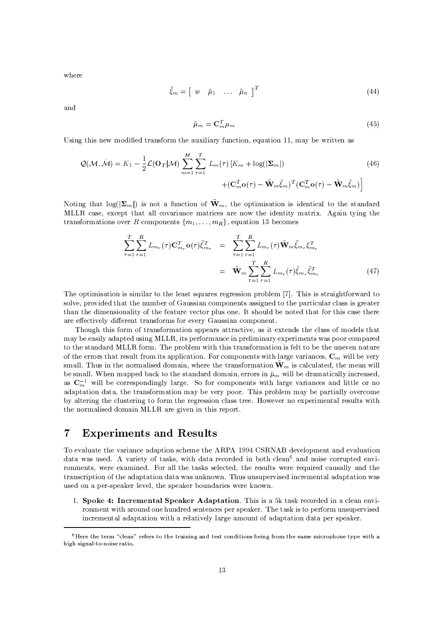where

$$
\tilde{\xi}_m = \left[ \begin{array}{cccc} w & \tilde{\mu}_1 & \dots & \tilde{\mu}_n \end{array} \right]^T \tag{44}
$$

and

$$
\tilde{\mu}_m = \mathbf{C}_m^T \mu_m \tag{45}
$$

Using this new modified transform the auxiliary function, equation 11, may be written as

$$
\mathcal{Q}(\mathcal{M}, \hat{\mathcal{M}}) = K_1 - \frac{1}{2} \mathcal{L}(\mathbf{O}_T | \mathcal{M}) \sum_{m=1}^M \sum_{\tau=1}^T L_m(\tau) \left[ K_m + \log(|\mathbf{\Sigma}_m|) \right] + (\mathbf{C}_m^T \mathbf{o}(\tau) - \tilde{\mathbf{W}}_m \tilde{\xi}_m)^T (\mathbf{C}_m^T \mathbf{o}(\tau) - \tilde{\mathbf{W}}_m \tilde{\xi}_m) \right]
$$
(46)

Noting that  $log(|\Sigma_m|)$  is not a function of  $\tilde{W}_m$ , the optimisation is identical to the standard MLLR case, except that all covariance matrices are now the identity matrix. Again tying the transformations over R components  $\{m_1, \ldots, m_R\}$ , equation 13 becomes

$$
\sum_{\tau=1}^{T} \sum_{r=1}^{R} L_{m_r}(\tau) \mathbf{C}_{m_r}^T \mathbf{o}(\tau) \tilde{\xi}_{m_r}^T = \sum_{\tau=1}^{T} \sum_{r=1}^{R} L_{m_r}(\tau) \tilde{\mathbf{W}}_m \tilde{\xi}_{m_r} \xi_{m_r}^T
$$

$$
= \tilde{\mathbf{W}}_m \sum_{\tau=1}^{T} \sum_{r=1}^{R} L_{m_r}(\tau) \tilde{\xi}_{m_r} \tilde{\xi}_{m_r}^T
$$
(47)

The optimisation is similar to the least squares regression problem [7]. This is straightforward to solve, provided that the number of Gaussian components assigned to the particular class is greater than the dimensionality of the feature vector plus one. It should be noted that for this case there are effectively different transforms for every Gaussian component.

Though this form of transformation appears attractive, as it extends the class of models that may be easily adapted using MLLR, its performance in preliminary experiments was poor compared to the standard MLLR form. The problem with this transformation is felt to be the uneven nature of the errors that result from its application. For components with large variances,  $C_m$  will be very small. Thus in the normalised domain, where the transformation  $\mathbf{\tilde{W}}_m$  is calculated, the mean will be small. When mapped back to the standard domain, errors in  $\mu_m$  will be dramatically increased, as  $C_m^{-1}$  will be correspondingly large. So for components with large variances and little or no adaptation data, the transformation may be very poor. This problem may be partially overcome by altering the clustering to form the regression class tree. However no experimental results with the normalised domain MLLR are given in this report.

#### $\overline{7}$ **Experiments and Results**

To evaluate the variance adaption scheme the ARPA 1994 CSRNAB development and evaluation data was used. A variety of tasks, with data recorded in both clean<sup>6</sup> and noise corrupted environments, were examined. For all the tasks selected, the results were required causally and the transcription of the adaptation data was unknown. Thus unsupervised incremental adaptation was used on a per-speaker level, the speaker boundaries were known.

1. Spoke 4: Incremental Speaker Adaptation. This is a 5k task recorded in a clean environment with around one hundred sentences per speaker. The task is to perform unsupervised incremental adaptation with a relatively large amount of adaptation data per speaker.

 ${}^{6}$ Here the term "clean" refers to the training and test conditions being from the same microphone type with a high signal-to-noise ratio.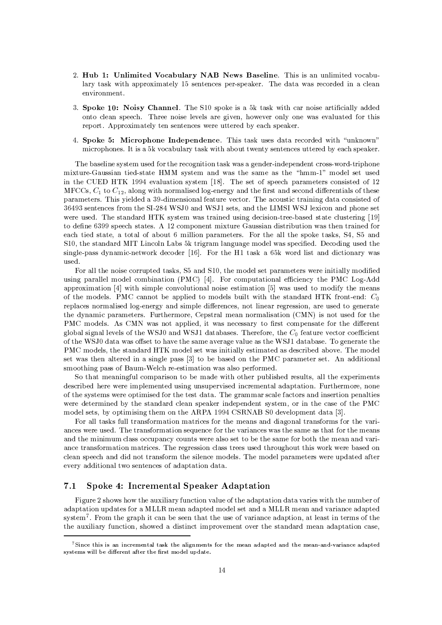- 2. Hub 1: Unlimited Vocabulary NAB News Baseline. This is an unlimited vocabulary task with approximately 15 sentences per-speaker. The data was recorded in a clean environment.
- 3. Spoke 10: Noisy Channel. The S10 spoke is a 5k task with car noise artificially added onto clean speech. Three noise levels are given, however only one was evaluated for this report. Approximately ten sentences were uttered by each speaker.
- 4. Spoke 5: Microphone Independence. This task uses data recorded with "unknown" microphones. It is a 5k vocabulary task with about twenty sentences uttered by each speaker.

The baseline system used for the recognition task was a gender-independent cross-word-triphone mixture-Gaussian tied-state HMM system and was the same as the "hmm-1" model set used in the CUED HTK 1994 evaluation system [18]. The set of speech parameters consisted of 12 MFCCs,  $C_1$  to  $C_{12}$ , along with normalised log-energy and the first and second differentials of these parameters. This yielded a 39-dimensional feature vector. The acoustic training data consisted of 36493 sentences from the SI-284 WSJ0 and WSJ1 sets, and the LIMSI WSJ lexicon and phone set were used. The standard HTK system was trained using decision-tree-based state clustering [19] to define 6399 speech states. A 12 component mixture Gaussian distribution was then trained for each tied state, a total of about 6 million parameters. For the all the spoke tasks, S4, S5 and S10, the standard MIT Lincoln Labs 5k trigram language model was specified. Decoding used the single-pass dynamic-network decoder [16]. For the H1 task a 65k word list and dictionary was used.

For all the noise corrupted tasks, S5 and S10, the model set parameters were initially modified using parallel model combination (PMC) [4]. For computational efficiency the PMC Log-Add approximation [4] with simple convolutional noise estimation [5] was used to modify the means of the models. PMC cannot be applied to models built with the standard HTK front-end:  $C_0$ replaces normalised log-energy and simple differences, not linear regression, are used to generate the dynamic parameters. Furthermore, Cepstral mean normalisation (CMN) is not used for the PMC models. As CMN was not applied, it was necessary to first compensate for the different global signal levels of the WSJ0 and WSJ1 databases. Therefore, the  $C_0$  feature vector coefficient of the WSJ0 data was offset to have the same average value as the WSJ1 database. To generate the PMC models, the standard HTK model set was initially estimated as described above. The model set was then altered in a single pass [3] to be based on the PMC parameter set. An additional smoothing pass of Baum-Welch re-estimation was also performed.

So that meaningful comparison to be made with other published results, all the experiments described here were implemented using unsupervised incremental adaptation. Furthermore, none of the systems were optimised for the test data. The grammar scale factors and insertion penalties were determined by the standard clean speaker independent system, or in the case of the PMC model sets, by optimising them on the ARPA 1994 CSRNAB S0 development data [3].

For all tasks full transformation matrices for the means and diagonal transforms for the variances were used. The transformation sequence for the variances was the same as that for the means and the minimum class occupancy counts were also set to be the same for both the mean and variance transformation matrices. The regression class trees used throughout this work were based on clean speech and did not transform the silence models. The model parameters were updated after every additional two sentences of adaptation data.

#### Spoke 4: Incremental Speaker Adaptation  $7.1$

Figure 2 shows how the auxiliary function value of the adaptation data varies with the number of adaptation updates for a MLLR mean adapted model set and a MLLR mean and variance adapted system<sup>7</sup>. From the graph it can be seen that the use of variance adaption, at least in terms of the the auxiliary function, showed a distinct improvement over the standard mean adaptation case,

 $7$ Since this is an incremental task the alignments for the mean adapted and the mean-and-variance adapted systems will be different after the first model update.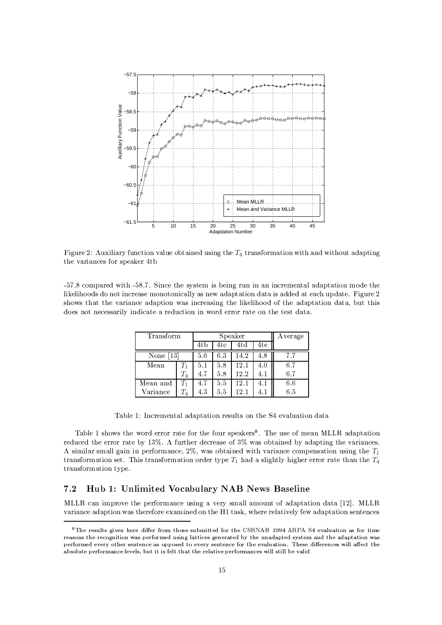

Figure 2: Auviliary function value obtained using the  $T_t$  transformation with and without adapting the variances for speaker 4tb

. B Barat da Karakatan ini dan menjadi penujuran dan berata dan berata dan berata dan berata dan berata dan be<br>Sebagai pertama dalam berata dalam berata dan berata dan berata dan berata dan berata dan berata dan berata da 5jd8^758d@FA A3BC9SBFA-EFA`i d8EC{!UW7]4b9W7(aA^ECA`ihA`ECd8{]4b585jY(469>EC7!| 46BX46nCi 46iWd8A^EB/46i 4(d89p4bBCBC7Bc46i>7]4b{p@ VCnXB/4biW7`,>0dje^VCUW7(s 9#@CA6|(9i @/46ii#@C7g`46UWdD4bEC{7c46B/4bnCiWd8A`E[|(469d8EC{Uh7]469hd8ECe i#@F758d8`758dB@CA3A3B A6x(i#@C7I46B/4bnCi 4biWd8A`E[B/4bi 4CzTCVCii#@Cd89  $\mathbf{A}$  is the case of the case of the case of the case in the case of the critical intervals and the critical intervals and the critical intervals and the critical intervals and the critical intervals and the critical i

| Transform                |         | Speaker |     |          |     | Average |
|--------------------------|---------|---------|-----|----------|-----|---------|
|                          |         | 4tb     | 4tc | 4td      | 4te |         |
| $\vert 13\rvert$<br>None |         | 5.6     | 6.3 | 14.2     | 4.8 | 7.7     |
| Mean                     |         | 5.1     | 5.8 | 12.1     | 4.0 | 6.7     |
|                          | $T_{4}$ | 4.7     | 5.8 | 12.2     | 4.1 | 6.7     |
| Mean and                 |         | 4.7     | 5.5 | $12.1\,$ | 4.1 | 6.6     |
| Variance                 |         | 4.3     | 5.5 | 12.7     |     | 6.5     |

ou4bTC587 Z^v)NkEC{UW7!a7E3i 4b5 46B/4bnCi 4biWd8A`EUW79hVC58iW9A`EIi#@C7q5Uc7!g`4658V/46ihd8A`EcB/4bi <sup>4</sup>

o4bTC587Z9@CA6|(9;i @C7|\$A^UWBI7UWUhA`UU 4biW7xyA`U(i#@F7xA`VFU(9WnX7]46^7UW9/,%o]@C7VC9h7A6x a7]46E +QP7PH46BX46nCi 46iWd8A^E | ||(469) ||(469) ||(469) ||(469) ||(469) ||(469) ||(469) ||(469) ||(469) ||(469) ||(469) ||(469) ||(469) ||(469) ||(479) ||(479) ||(479) ||(479) ||(479) ||(479) ||(479) ||(479) ||(479) ||(479) ||(479) ||(479) ||(479) ||(4  $\Lambda$  given a substitution of  $\mathbb{R}$  such that  $\mathbb{R}$  with the index componention using the  $T$ transformation set. This transformation order type T<sub>1</sub> had a slightly higher error rate than the T<sub>1</sub> iwaited as a unit of  $\mathcal{A}$  and  $\mathcal{A}$  and  $\mathcal{A}$ 

### with the set of the contraction of the contraction of the contraction of the contraction of the contraction of the contraction of the contraction of the contraction of the contraction of the contraction of the contraction

+QPP7H{]4bE-djanCUWA6g^7i#@C7n/7!UkxA^UWa 4bEC{7VC9Wd8ECe 4g`7!UWY 9ha 46585 4baA`VFEiA6x 4bB/46nFi 46ihd8A`E B/4bi <sup>4</sup> jZs)W,+QP7PH g`46UWdD4bEC{7\$4bB/46nCihd8A`E;|(469 i#@C7!UW7xA^UW7%7KAC46adjEF7BA`Ei#@C7kd Z>i 469h zb|]@C7UW7MUW75D46ihd8g`758Y(xy7| 46B/4bnCi 4biWd8A`E9h7E3iW7EC{!79

 $\delta$ reasons the recognition was performed using lattices generated by the unadapted system and the adaptation was <sup>=</sup>:>AJ?;<D:@A9as97FRJLFCSO=LK:H79 ;<96?97;<>ek :D:@ I<@ I<> R9G;<@ @A8:=?@@C8:9"FA9G;<=L@AI76?9as 97FRJ?FASO=LK:HG97>,l I<;<; >A@CI<;<; 9;6=?;<I<P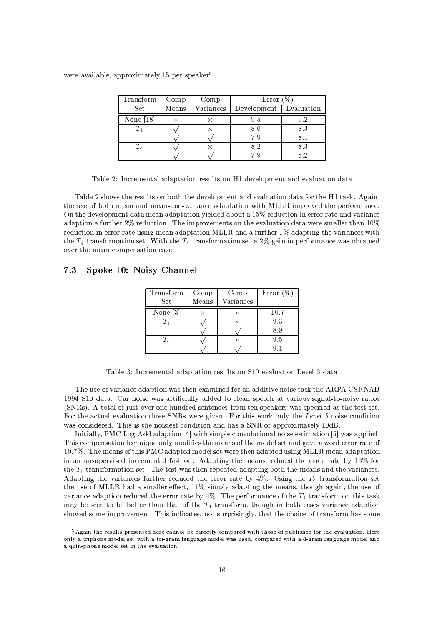were available, approximately 15 per speaker<sup>9</sup>.

| Transform   | Comp  | Comp      | Error                    |     |
|-------------|-------|-----------|--------------------------|-----|
| Set         | Means | Variances | Development   Evaluation |     |
| None $[18]$ |       |           | 9.5                      |     |
|             |       |           | 8.0                      | 8.3 |
|             |       |           | 7.9                      |     |
|             |       |           | $8.2\,$                  | 8.3 |
|             |       |           | 7 Y                      |     |

Table 2: Incremental adaptation results on H1 development and evaluation data

Table 2 shows the results on both the development and evaluation data for the H1 task. Again, the use of both mean and mean-and-variance adaptation with MLLR improved the performance. On the development data mean adaptation yielded about a 15% reduction in error rate and variance adaption a further 2% reduction. The improvements on the evaluation data were smaller than 10% reduction in error rate using mean adaptation MLLR and a further 1% adapting the variances with the  $T_4$  transformation set. With the  $T_1$  transformation set a 2% gain in performance was obtained over the mean compensation case.

#### $7.3$ Spoke 10: Noisy Channel

| Transform<br>Set       | Comp<br>Means | Comp<br>Variances | Error $(\%)$ |
|------------------------|---------------|-------------------|--------------|
|                        |               |                   |              |
| None $\lceil 3 \rceil$ |               |                   | 10.7         |
|                        |               | $\times$          | 93           |
|                        |               |                   | 89           |
|                        |               | $\times$          | 9.5          |
|                        |               |                   |              |

Table 3: Incremental adaptation results on S10 evaluation Level 3 data

The use of variance adaption was then examined for an additive noise task the ARPA CSRNAB 1994 S10 data. Car noise was artificially added to clean speech at various signal-to-noise ratios (SNRs). A total of just over one hundred sentences from ten speakers was specified as the test set. For the actual evaluation three SNRs were given. For this work only the Level 3 noise condition was considered. This is the noisiest condition and has a SNR of approximately 10dB.

Initially, PMC Log-Add adaption [4] with simple convolutional noise estimation [5] was applied. This compensation technique only modifies the means of the model set and gave a word error rate of 10.7%. The means of this PMC adapted model set were then adapted using MLLR mean adaptation in an unsupervised incremental fashion. Adapting the means reduced the error rate by 13% for the  $T_1$  transformation set. The test was then repeated adapting both the means and the variances. Adapting the variances further reduced the error rate by 4%. Using the  $T_4$  transformation set the use of MLLR had a smaller effect, 11% simply adapting the means, though again, the use of variance adaption reduced the error rate by 4%. The performance of the  $T_1$  transform on this task may be seen to be better than that of the  $T_4$  transform, though in both cases variance adaption showed some improvement. This indicates, not surprisingly, that the choice of transform has some

<sup>&</sup>lt;sup>9</sup>Again the results presented here cannot be directly compared with those of published for the evaluation. Here only a triphone model set with a tri-gram language model was used, compared with a 4-gram language model and a quin-phone model set in the evaluation.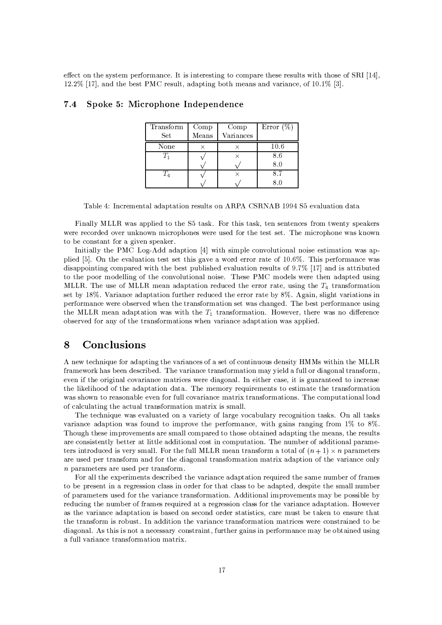effect on the system performance. It is interesting to compare these results with those of SRI  $[14]$ ,  $12.2\%$  [17], and the best PMC result, adapting both means and variance, of 10.1% [3].

| Transform   | Comp  | Comp      | Error $(\%)$ |
|-------------|-------|-----------|--------------|
| Set         | Means | Variances |              |
| None        |       |           | 10.6         |
| $T_{\rm i}$ |       |           | 8.6          |
|             |       |           | 8.0          |
| T           |       |           | 8.7          |
|             |       |           |              |

#### Spoke 5: Microphone Independence  $7.4$

Table 4: Incremental adaptation results on ARPA CSRNAB 1994 S5 evaluation data

Finally MLLR was applied to the S5 task. For this task, ten sentences from twenty speakers were recorded over unknown microphones were used for the test set. The microphone was known to be constant for a given speaker.

Initially the PMC Log-Add adaption [4] with simple convolutional noise estimation was applied [5]. On the evaluation test set this gave a word error rate of 10.6%. This performance was disappointing compared with the best published evaluation results of 9.7% [17] and is attributed to the poor modelling of the convolutional noise. These PMC models were then adapted using MLLR. The use of MLLR mean adaptation reduced the error rate, using the  $T_4$  transformation set by 18%. Variance adaptation further reduced the error rate by 8%. Again, slight variations in performance were observed when the transformation set was changed. The best performance using the MLLR mean adaptation was with the  $T_1$  transformation. However, there was no difference observed for any of the transformations when variance adaptation was applied.

#### Conclusions 8

A new technique for adapting the variances of a set of continuous density HMMs within the MLLR framework has been described. The variance transformation may yield a full or diagonal transform, even if the original covariance matrices were diagonal. In either case, it is guaranteed to increase the likelihood of the adaptation data. The memory requirements to estimate the transformation was shown to reasonable even for full covariance matrix transformations. The computational load of calculating the actual transformation matrix is small.

The technique was evaluated on a variety of large vocabulary recognition tasks. On all tasks variance adaption was found to improve the performance, with gains ranging from 1% to 8%. Though these improvements are small compared to those obtained adapting the means, the results are consistently better at little additional cost in computation. The number of additional parameters introduced is very small. For the full MLLR mean transform a total of  $(n+1) \times n$  parameters are used per transform and for the diagonal transformation matrix adaption of the variance only  $n$  parameters are used per transform.

For all the experiments described the variance adaptation required the same number of frames to be present in a regression class in order for that class to be adapted, despite the small number of parameters used for the variance transformation. Additional improvements may be possible by reducing the number of frames required at a regression class for the variance adaptation. However as the variance adaptation is based on second order statistics, care must be taken to ensure that the transform is robust. In addition the variance transformation matrices were constrained to be diagonal. As this is not a necessary constraint, further gains in performance may be obtained using a full variance transformation matrix.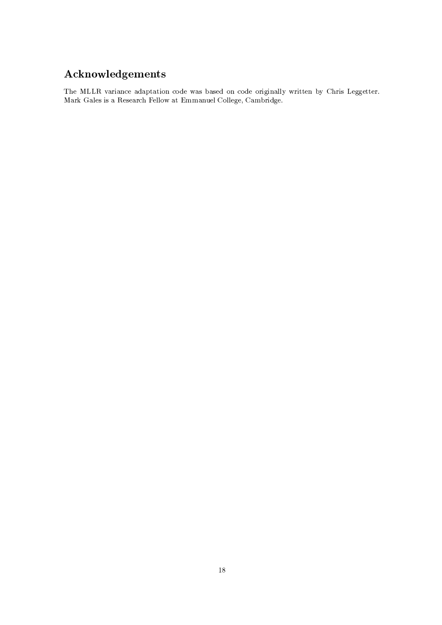# Acknowledgements

The MLLR variance adaptation code was based on code originally written by Chris Leggetter. Mark Gales is a Research Fellow at Emmanuel College, Cambridge.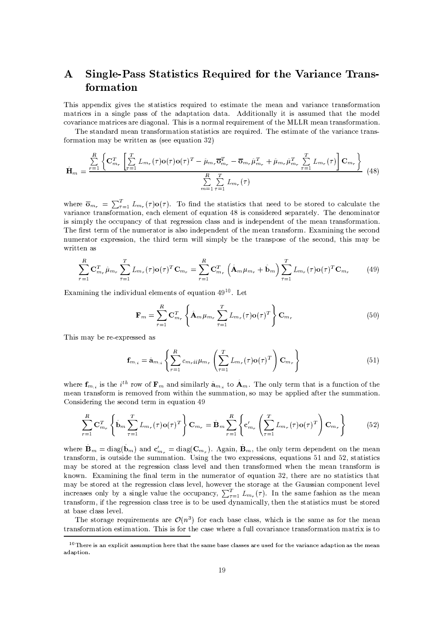### Single-Pass Statistics Required for the Variance Trans- $\mathbf{A}$ formation

This appendix gives the statistics required to estimate the mean and variance transformation matrices in a single pass of the adaptation data. Additionally it is assumed that the model covariance matrices are diagonal. This is a normal requirement of the MLLR mean transformation.

The standard mean transformation statistics are required. The estimate of the variance transformation may be written as (see equation  $32$ )

$$
\hat{\mathbf{H}}_{m} = \frac{\sum\limits_{r=1}^{R} \left\{ \mathbf{C}_{m_{r}}^{T} \left[ \sum\limits_{\tau=1}^{T} L_{m_{r}}(\tau) \mathbf{o}(\tau) \mathbf{o}(\tau)^{T} - \hat{\mu}_{m_{r}} \overline{\mathbf{o}}_{m_{r}}^{T} - \overline{\mathbf{o}}_{m_{r}} \hat{\mu}_{m_{r}}^{T} + \hat{\mu}_{m_{r}} \hat{\mu}_{m_{r}}^{T} \sum\limits_{\tau=1}^{T} L_{m_{r}}(\tau) \right] \mathbf{C}_{m_{r}} \right\}}{\sum\limits_{m=1}^{R} \sum\limits_{\tau=1}^{T} L_{m_{r}}(\tau)}
$$
(48)

where  $\overline{\mathbf{o}}_{m_r} = \sum_{\tau=1}^T L_{m_r}(\tau) \mathbf{o}(\tau)$ . To find the statistics that need to be stored to calculate the variance transformation, each element of equation 48 is considered separately. The denominator is simply the occupancy of that regression class and is independent of the mean transformation. The first term of the numerator is also independent of the mean transform. Examining the second numerator expression, the third term will simply be the transpose of the second, this may be written as

$$
\sum_{r=1}^{R} \mathbf{C}_{m_r}^T \hat{\mu}_{m_r} \sum_{\tau=1}^{T} L_{m_r}(\tau) \mathbf{o}(\tau)^T \mathbf{C}_{m_r} = \sum_{r=1}^{R} \mathbf{C}_{m_r}^T \left( \hat{\mathbf{A}}_m \mu_{m_r} + \hat{\mathbf{b}}_m \right) \sum_{\tau=1}^{T} L_{m_r}(\tau) \mathbf{o}(\tau)^T \mathbf{C}_{m_r}
$$
(49)

Examining the individual elements of equation  $49^{10}$ . Let

$$
\mathbf{F}_m = \sum_{r=1}^R \mathbf{C}_{m_r}^T \left\{ \hat{\mathbf{A}}_m \mu_{m_r} \sum_{\tau=1}^T L_{m_r}(\tau) \mathbf{o}(\tau)^T \right\} \mathbf{C}_{m_r}
$$
(50)

This may be re-expressed as

$$
\mathbf{f}_{m_{ii}} = \hat{\mathbf{a}}_{m_{ii}} \left\{ \sum_{r=1}^{R} c_{m_r i i} \mu_{m_r} \left( \sum_{\tau=1}^{T} L_{m_r}(\tau) \mathbf{o}(\tau)^T \right) \mathbf{C}_{m_r} \right\}
$$
(51)

where  $f_{m,i}$  is the i<sup>th</sup> row of  $F_m$  and similarly  $\hat{a}_{m,i}$  to  $\hat{A}_m$ . The only term that is a function of the mean transform is removed from within the summation, so may be applied after the summation. Considering the second term in equation 49

$$
\sum_{r=1}^{R} \mathbf{C}_{m_r}^T \left\{ \hat{\mathbf{b}}_m \sum_{\tau=1}^T L_{m_r}(\tau) \mathbf{o}(\tau)^T \right\} \mathbf{C}_{m_r} = \hat{\mathbf{B}}_m \sum_{r=1}^R \left\{ \mathbf{c}_{m_r}^{\prime} \left( \sum_{\tau=1}^T L_{m_r}(\tau) \mathbf{o}(\tau)^T \right) \mathbf{C}_{m_r} \right\} \tag{52}
$$

where  $\hat{\mathbf{B}}_m = \text{diag}(\hat{\mathbf{b}}_m)$  and  $\mathbf{c}'_{m_r} = \text{diag}(\mathbf{C}_{m_r})$ . Again,  $\hat{\mathbf{B}}_m$ , the only term dependent on the mean transform, is outside the summation. Using the two expressions, equations 51 and 52, statistics may be stored at the regression class level and then transformed when the mean transform is known. Examining the final term in the numerator of equation 32, there are no statistics that may be stored at the regression class level, however the storage at the Gaussian component level<br>increases only by a single value the occupancy,  $\sum_{\tau=1}^{T} L_{m_{\tau}}(\tau)$ . In the same fashion as the mean<br>transform, if the r at base class level.

The storage requirements are  $\mathcal{O}(n^3)$  for each base class, which is the same as for the mean transformation estimation. This is for the case where a full covariance transformation matrix is to

 $10$ There is an explicit assumption here that the same base classes are used for the variance adaption as the mean adaption.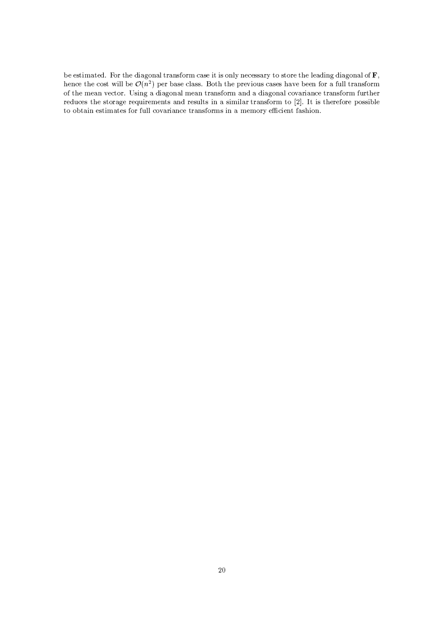be estimated. For the diagonal transform case it is only necessary to store the leading diagonal of  ${\bf F},$ hence the cost will be  $\mathcal{O}(n^2)$  per base class. Both the previous cases have been for a full transform of the mean vector. Using a diagonal mean transform and a diagonal covariance transform further reduces the storage requirements and results in a similar transform to [2]. It is therefore possible to obtain estimates for full covariance transforms in a memory efficient fashion.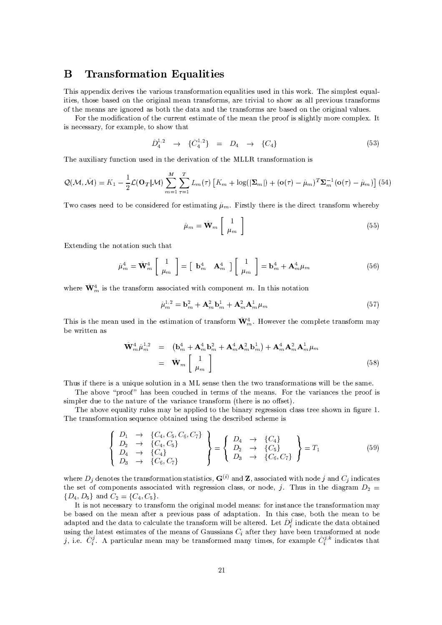#### B **Transformation Equalities**

This appendix derives the various transformation equalities used in this work. The simplest equalities, those based on the original mean transforms, are trivial to show as all previous transforms of the means are ignored as both the data and the transforms are based on the original values.

For the modification of the current estimate of the mean the proof is slightly more complex. It is necessary, for example, to show that

$$
\hat{D}_4^{1,2} \rightarrow \{\hat{C}_4^{1,2}\} = D_4 \rightarrow \{C_4\} \tag{53}
$$

The auxiliary function used in the derivation of the MLLR transformation is

$$
Q(\mathcal{M},\hat{\mathcal{M}}) = K_1 - \frac{1}{2}\mathcal{L}(\mathbf{O}_T|\mathcal{M})\sum_{m=1}^M \sum_{\tau=1}^T L_m(\tau) \left[K_m + \log(|\mathbf{\Sigma}_m|) + (\mathbf{o}(\tau) - \hat{\mu}_m)^T \mathbf{\Sigma}_m^{-1} (\mathbf{o}(\tau) - \hat{\mu}_m)\right]
$$
(54)

Two cases need to be considered for estimating  $\hat{\mu}_m$ . Firstly there is the direct transform whereby

$$
\hat{\mu}_m = \hat{\mathbf{W}}_m \begin{bmatrix} 1 \\ \mu_m \end{bmatrix} \tag{55}
$$

Extending the notation such that

$$
\hat{\mu}_m^4 = \hat{\mathbf{W}}_m^4 \left[ \begin{array}{c} 1 \\ \mu_m \end{array} \right] = \left[ \begin{array}{cc} \mathbf{b}_m^4 & \mathbf{A}_m^4 \end{array} \right] \left[ \begin{array}{c} 1 \\ \mu_m \end{array} \right] = \mathbf{b}_m^4 + \mathbf{A}_m^4 \mu_m \tag{56}
$$

where  $\hat{\mathbf{W}}_m^4$  is the transform associated with component m. In this notation

$$
\hat{\mu}_m^{1,2} = \mathbf{b}_m^2 + \mathbf{A}_m^2 \mathbf{b}_m^1 + \mathbf{A}_m^2 \mathbf{A}_m^1 \mu_m \tag{57}
$$

This is the mean used in the estimation of transform  $\hat{W}_m^4$ . However the complete transform may be written as

$$
\hat{\mathbf{W}}_m^4 \hat{\mu}_m^{1,2} = (\mathbf{b}_m^4 + \mathbf{A}_m^4 \mathbf{b}_m^2 + \mathbf{A}_m^4 \mathbf{A}_m^2 \mathbf{b}_m^1) + \mathbf{A}_m^4 \mathbf{A}_m^2 \mathbf{A}_m^1 \mu_m
$$
\n
$$
= \hat{\mathbf{W}}_m \begin{bmatrix} 1 \\ \mu_m \end{bmatrix} \tag{58}
$$

Thus if there is a unique solution in a ML sense then the two transformations will be the same.

The above "proof" has been couched in terms of the means. For the variances the proof is simpler due to the nature of the variance transform (there is no offset).

The above equality rules may be applied to the binary regression class tree shown in figure 1. The transformation sequence obtained using the described scheme is

$$
\begin{Bmatrix}\nD_1 & \rightarrow & \{C_4, C_5, C_6, C_7\} \\
D_2 & \rightarrow & \{C_4, C_5\} \\
D_4 & \rightarrow & \{C_4\} \\
D_3 & \rightarrow & \{C_6, C_7\}\n\end{Bmatrix} = \begin{Bmatrix}\nD_4 & \rightarrow & \{C_4\} \\
D_2 & \rightarrow & \{C_5\} \\
D_3 & \rightarrow & \{C_6, C_7\}\n\end{Bmatrix} = T_1
$$
\n(59)

where  $D_j$  denotes the transformation statistics,  $G^{(i)}$  and Z, associated with node j and  $C_j$  indicates the set of components associated with regression class, or node, j. Thus in the diagram  $D_2$  $\{D_4, D_5\}$  and  $C_2 = \{C_4, C_5\}.$ 

It is not necessary to transform the original model means: for instance the transformation may be based on the mean after a previous pass of adaptation. In this case, both the mean to be adapted and the data to calculate the transform will be altered. Let  $\hat{D}_i^j$  indicate the data obtained using the latest estimates of the means of Gaussians  $C_i$  after they have been transformed at node j, i.e.  $\hat{C}_i^j$ . A particular mean may be transformed many times, for example  $\hat{C}_i^{j,k}$  indicates that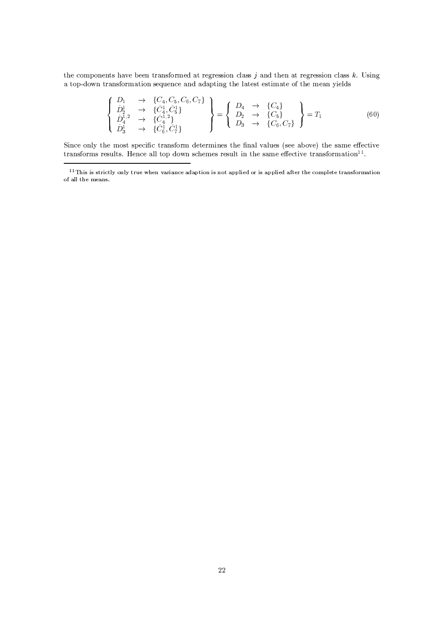the components have been transformed at regression class  $j$  and then at regression class  $k$ . Using a top-down transformation sequence and adapting the latest estimate of the mean yields

$$
\begin{Bmatrix}\nD_1 & \to & \{C_4, C_5, C_6, C_7\} \\
\hat{D}_2^1 & \to & \{\hat{C}_4^1, \hat{C}_5^1\} \\
\hat{D}_4^{1,2} & \to & \{\hat{C}_4^1, \hat{C}_4^1\} \\
\hat{D}_3^1 & \to & \{\hat{C}_6^1, \hat{C}_7^1\}\n\end{Bmatrix} = \begin{Bmatrix}\nD_4 & \to & \{C_4\} \\
D_2 & \to & \{C_5\} \\
D_3 & \to & \{C_6, C_7\}\n\end{Bmatrix} = T_1
$$
\n(60)

Since only the most specific transform determines the final values (see above) the same effective transforms results. Hence all top down schemes result in the same effective transformation<sup>11</sup>.

 $^{11}$ This is strictly only true when variance adaption is not applied or is applied after the complete transformation of all the means.